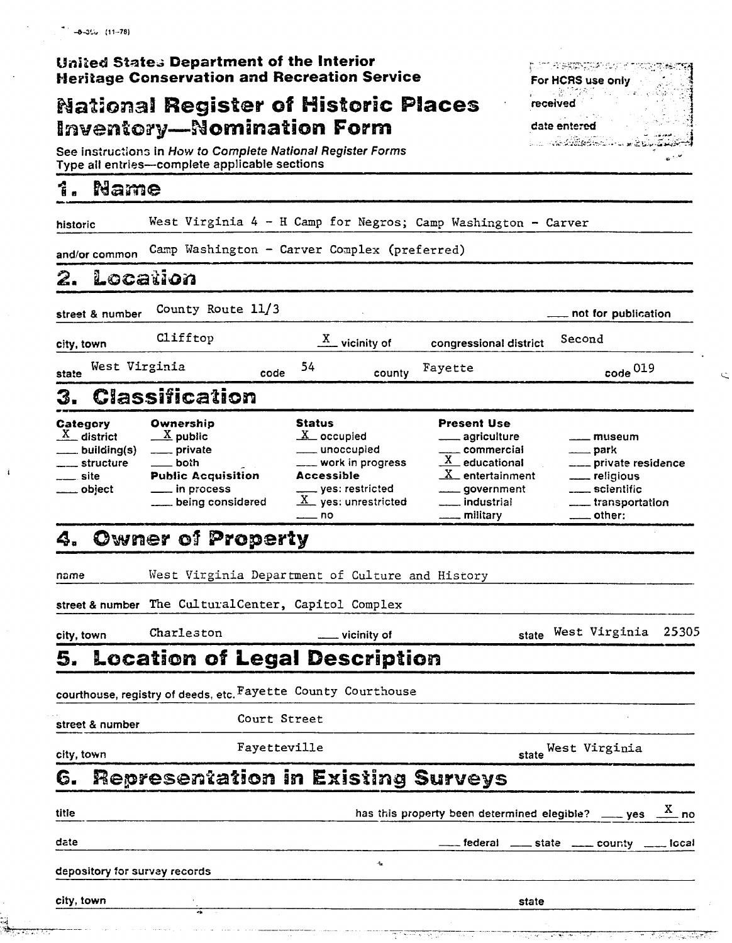### **United States Department of the Interior Heritage Conservation and Recreation Service**

### **National Register of Historic Places Inventory-Nomination Form**

See instructions in How to Complete National Register Forms Type all entries-complete applicable sections

#### Î. Name

| historic                                                               | West Virginia 4 - H Camp for Negros; Camp Washington - Carver                                                                   |                                                                                                                                                                        |                                                                                                                                                       |                                                                                                                                           |
|------------------------------------------------------------------------|---------------------------------------------------------------------------------------------------------------------------------|------------------------------------------------------------------------------------------------------------------------------------------------------------------------|-------------------------------------------------------------------------------------------------------------------------------------------------------|-------------------------------------------------------------------------------------------------------------------------------------------|
| and/or common                                                          | Camp Washington - Carver Complex (preferred)                                                                                    |                                                                                                                                                                        |                                                                                                                                                       |                                                                                                                                           |
| 2.                                                                     | Location                                                                                                                        |                                                                                                                                                                        |                                                                                                                                                       |                                                                                                                                           |
| street & number                                                        | County Route 11/3                                                                                                               |                                                                                                                                                                        |                                                                                                                                                       | not for publication                                                                                                                       |
| city, town                                                             | Clifftop                                                                                                                        | $\mathbf{X}$<br>_ vicinity of                                                                                                                                          | congressional district                                                                                                                                | Second                                                                                                                                    |
| West Virginia<br>state                                                 | code                                                                                                                            | 54<br>county                                                                                                                                                           | Fayette                                                                                                                                               | $\cos^0 019$                                                                                                                              |
| 3.                                                                     | Classification                                                                                                                  |                                                                                                                                                                        |                                                                                                                                                       |                                                                                                                                           |
| Category<br>$X$ district<br>building(s)<br>structure<br>site<br>object | Ownership<br>$\underline{X}$ public<br>_____ private<br>both<br><b>Public Acquisition</b><br>___ in process<br>being considered | <b>Status</b><br>$\underline{X}$ occupied<br>____ unoccupied<br>___ work in progress<br>Accessible<br>___ yes: restricted<br>$\underline{X}$ yes: unrestricted<br>_ no | <b>Present Use</b><br>_ agriculture<br>___ commercial<br>$X$ educational<br>$\underline{X}$ entertainment<br>_ government<br>_ industrial<br>military | _ museum<br><u>_</u> ____ park<br>___ private residence<br><u>_</u> ___ religious<br>____ scientific<br>___ transportation<br>____ other: |
| 4.                                                                     | <b>Owner of Property</b>                                                                                                        |                                                                                                                                                                        |                                                                                                                                                       |                                                                                                                                           |
| name                                                                   | West Virginia Department of Culture and History<br>street & number The CulturalCenter, Capitol Complex                          |                                                                                                                                                                        |                                                                                                                                                       |                                                                                                                                           |
| city, town                                                             | Charleston                                                                                                                      | vicinity of                                                                                                                                                            |                                                                                                                                                       | 25305<br>state West Virginia                                                                                                              |
| 5.                                                                     | Location of Legal Description                                                                                                   |                                                                                                                                                                        |                                                                                                                                                       |                                                                                                                                           |
|                                                                        | courthouse, registry of deeds, etc. ${\tt Fayette}$ ${\tt County}$ ${\tt Counthouse}$                                           |                                                                                                                                                                        |                                                                                                                                                       |                                                                                                                                           |
| street & number                                                        | Court Street                                                                                                                    |                                                                                                                                                                        |                                                                                                                                                       |                                                                                                                                           |
| city, town                                                             | Fayetteville                                                                                                                    |                                                                                                                                                                        |                                                                                                                                                       | state West Virginia                                                                                                                       |
| 6.                                                                     | Representation in Existing Surveys                                                                                              |                                                                                                                                                                        |                                                                                                                                                       |                                                                                                                                           |
| litle                                                                  |                                                                                                                                 |                                                                                                                                                                        |                                                                                                                                                       | has this property been determined elegible? ____ yes $\frac{X}{x}$ no                                                                     |
| date                                                                   |                                                                                                                                 |                                                                                                                                                                        |                                                                                                                                                       | federal ____ state ____ county ____ local                                                                                                 |
| depository for survey records                                          |                                                                                                                                 | $\mathbf{r}_\mathrm{d}$                                                                                                                                                |                                                                                                                                                       |                                                                                                                                           |
| city, town                                                             |                                                                                                                                 |                                                                                                                                                                        | state                                                                                                                                                 |                                                                                                                                           |
|                                                                        |                                                                                                                                 |                                                                                                                                                                        |                                                                                                                                                       |                                                                                                                                           |

**STOR BEENINGS BUSINES** 

د م

For HCRS use only . 1번 -

received

date entered **C. Rederiction**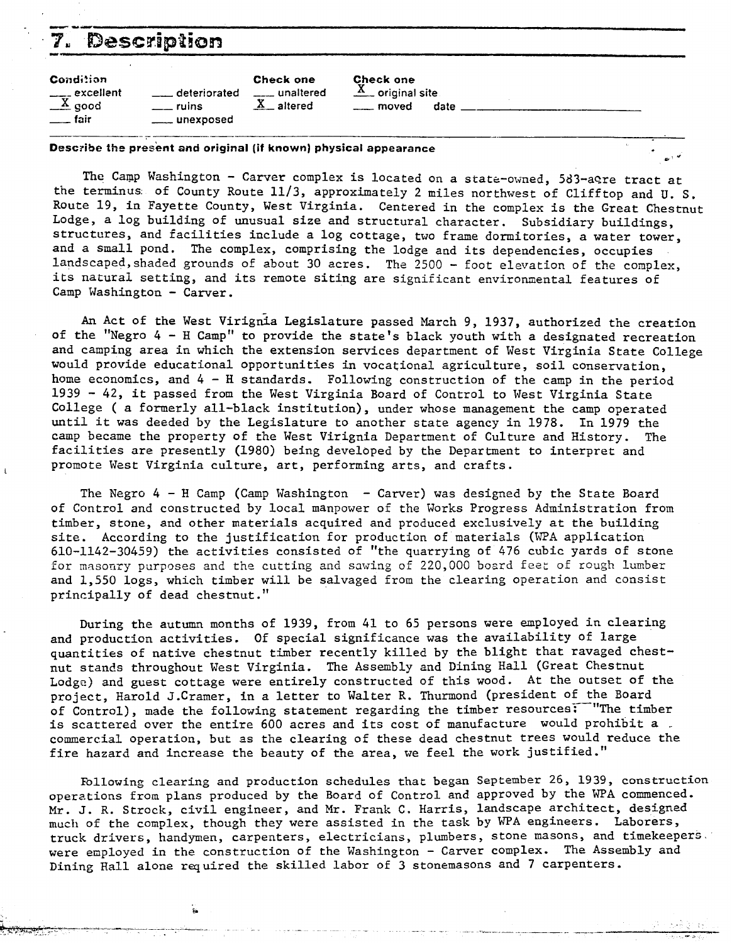| - 7                                                          | Description                        |                                              |                                                               |  |
|--------------------------------------------------------------|------------------------------------|----------------------------------------------|---------------------------------------------------------------|--|
| <b>Condition</b><br>$\frac{1}{x}$ excellent<br>$\equiv$ fair | deteriorated<br>ruins<br>unexposed | <b>Check one</b><br>unaltered<br>$X$ altered | Check one<br>$\underline{X}$ original site<br>. moved<br>date |  |

**Describe the present and original (if known) physical appearance** 

The Camp Washington - Carver complex is located on a state-owned, 583-acre tract at the terminus: of County Route 11/3, approximately 2 miles northwest of Clifftop and U. S. Route 19, in Fayette County, West Virginia. Centered in the complex is the Great Chestnut Lodge, a log building of unusual size and structural character. Subsidiary buildings, structures, and facilities include a log cottage, two frame dormitories, a water tower, and a small pond. The complex, comprising the lodge and its dependencies, occupies landscaped, shaded grounds of about 30 acres. The 2500 - foot elevation of the complex, its natural setting, and its remote siting are significant environmental features of Camp Washington - Carver.

An Act of the West Virignia Legislature passed March 9, 1937, authorized the creation of the "Negro 4 - H Camp" to provide the state's black youth with a designated recreation and camping area in which the extension services department of West Virginia State College would provide educational opportunities in vocational agriculture, soil conservation, home economics, and 4 - H standards. Following construction of the camp in the period <sup>1939</sup>- 42, it passed from the West Virginia Board of Control to West Virginia State College ( a formerly all-black institution), under whose management the camp operated until it was deeded by the Legislature to another state agency in 1978. In 1979 the camp became the property of the West Virignia Department of Culture and History. The facilities are presently (1980) being developed by the Department to interpret and **1** promote Wsst Virginia culture, art, performing arts, and crafts.

The Negro  $4$  - H Camp (Camp Washington - Carver) was designed by the State Board of Control and constructed by local manpower of the Works Progress Administration from timber, stone, and other materials acquired and produced exclusively at the building site. According to the justification for production of materials (WPA application 610-1142-30459) the activities consisted of "the quarrying of 476 cubic yards of stone for masonry purposes and the cutting and sawing of 220,000 board feet of rough lumber and 1,550 logs, which timber will be salvaged from the clearing operation and consist principally of dead chestnut.''

During the autumn months of 1939, from 41 to 65 persons were employed in clearing and production activities. Of special significance was the availability of large quantities of native chestnut timber recently killed by the blight that ravaged chestnut stands throughout West Virginia. The Assembly and Dining Hall (Great Chestnut Lodge) and guest cottage were entirely constructed of this wood. At the outset of the project, Harold J.Cramer, in a letter to Walter R. Thurmond (president of the Board of Control), made the following statement regarding the timber resources: "The timber<br>is scattered over the entire 600 acres and its cost of manufacture would prohibit a commercial operation, but as the clearing of these dead chestnut trees would reduce the fire hazard and increase the beauty of the area, we feel the work justified."

Following clearing and production schedules that began September *26,* 1939, construction operations from plans produced by the Board of Control and approved by the WPA commenced. Mr. J. R. Strock, civil engineer, and Mr. Frank C. Harris, landscape architect, designad much of the complex, though they were assisted in the task by WPA engineers. Laborers, truck drivers, handymen, carpenters, electricians, plumbers, stone masons, and timekeepers. were employed in the construction of the Washington - Carver complex. The Assembly and Dining Hall alone required the skilled labor of **3** stonemasons and 7 carpenters.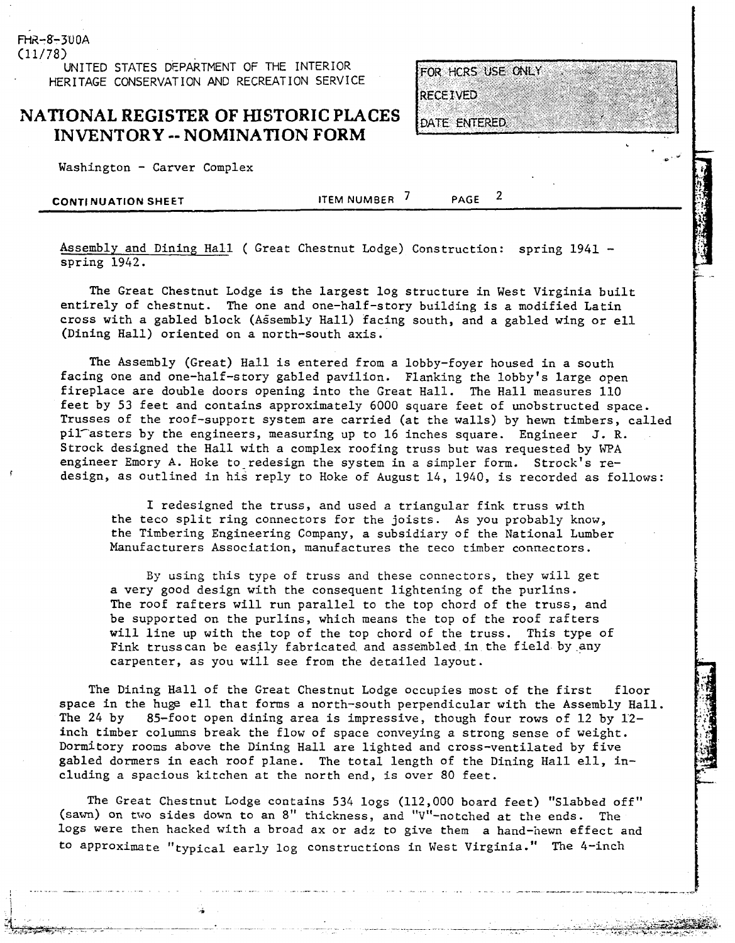**(11/78) UNITED STATES DEPARTMENT OF THE INTERIOR HERITAGE CONSERVATION AND RECREATION SERVICE** 

### **NATIONAL REGISTER OF HISTORIC PLACES INVENTORY** -- **NOMINATION FORM**

Washington - Carver Complex

FHR-8-300A

**CONTINUATION SHEET ITEM NUMBER** 7 **PAGE** 

FOR HCRS USE ONLY

 $\overline{2}$ 

**RECEIVED** 

DATE ENTERED.

Assembly and Dining Hall ( Great Chestnut Lodge) Construction: spring 1941 spring 1942.

The Great Chestnut Lodge is the largest log structure in West Virginia built entirely of chestnut. The one and one-half-story building is a modified Latin cross with a gabled block (AGsembly Hall) Eacing south, and a gabled wing or ell (Dining Hall) oriented on a north-south axis.

The Assembly (Great) Hall is entered from a lobby-foyer housed in a south facing one and one-half-story gabled pavilion. Flanking the lobby's large open fireplace are double doors opening into the Great Hall. The Hall measures 110 feet by 53 feet and contains approximately 6000 square feet of unobstructed space. Trusses of the roof-support system are carried (at the walls) by hewn timbers, called pil asters by the engineers, measuring up to 16 inches square. Engineer J.R. Strock designed the Hall with a complex roofing truss but was requested by **WPA**  engineer Emory A. Hoke to redesign the system in a simpler form. Strock's re-**<sup>I</sup>**design, as outlined in his reply to Hoke of August 14, 1940, is recorded as follows:

I redesigned the truss, and used a triangular fink truss with the teco split ring connectors for the joists. As you probably know, the Timbering Engineering Company, a subsidiary of the National Lumber Manufacturers Association, manufactures the teco timber connectors.

By using this type of truss and these connectors, they will get a very good design with the consequent lightening of the purlins. The roof rafters will run parallel to the top chord of the truss, and be supported on the purlins, which means the top of the roof rafters will line up with the top of the top chord of the truss. This type of Fink trusscan be easily fabricated and assembled in the field by.any carpenter, as you will see from the derailed layout.

The Dining Hall of the Great Chestnut Lodge occupies most of the first floor space in the huge ell that forms a north-south perpendicular with the Assembly Hall.<br>The 24 by 85-foot open dining area is impressive, though four rows of 12 by 12-85-foot open dining area is impressive, though four rows of 12 by 12inch timber columns break the flow of space conveying a strong sense of weight. Dormitory rooms above the Dining Hall are lighted and cross-ventilated by five gabled dormers in each roof plane. The total length of the Dining Hall ell, including a spacious kitchen at the north end, is over 80 feet.

The Great Chestnut Lodge contains 534 logs (112,000 board feet) "Slabbed off" (sawn) on tvo sides down to an 8" thickness, and "V"-notched at the ends. The logs were then hacked with a broad ax or adz to give them a hand-hewn effect and to approximate "typical early log constructions in West Virginia." The 4-inch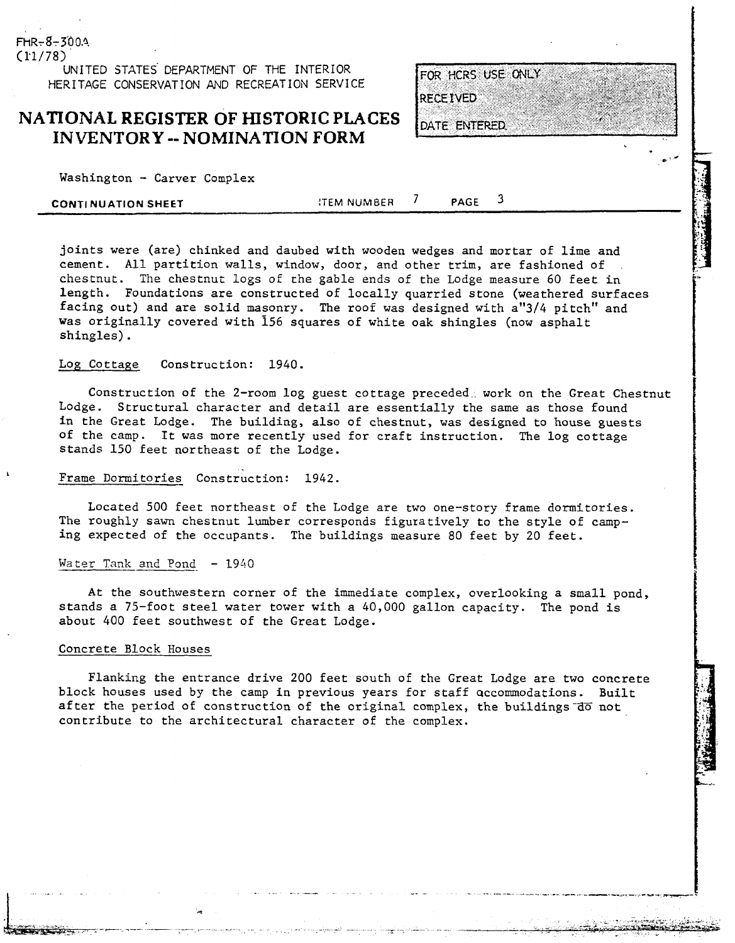**(11/781 UNITED STATES DEPARTMENT OF THE INTERIOR HERITAGE CONSERVATION AND RECREATION SERVICE** 

### **NATIONAL REGISTER OF HISTORIC PLACES INVENTORY** -- **NOMINATION FORM**

| FOR HCRS USE ONLY |  |  |
|-------------------|--|--|
|                   |  |  |
| <b>RECEIVED</b>   |  |  |

DATE ENTERED.

 $Washington - Carver Complex$ 

 $FHR - 8 - 300.4$ 

| <b>CONTINUATION SHEET</b> | ITEM NUMBER | <b>PAGE</b> |  |
|---------------------------|-------------|-------------|--|
|                           |             |             |  |

joints were (are) chinked and daubed with wooden wedges and mortar of lime and cement. All partition walls, window, door, and other trim, are fashioned of chestnut. The chestnut logs of the gable ends of the Lodge measure 60 feet in length. Foundations are constructed of locally quarried stone (weathered surfaces facing out) and are solid masonry. The roof was designed with a"3/4 pitch" and was originally covered with 156 squares of white oak shingles (now asphalt shingles).

#### Log Cottage Construction: 1940.

Construction of the 2-room log guest cottage preceded. work on the Great Chestnut Lodge. Structural character and detail are essentially the same as those found in the Great Lodge. The building, also of chestnut, was designed to house guests of the camp. It was more recently used for craft instruction. The log cottage stands 150 feet northeast of the Lodge.

### **<sup>k</sup>**Frame Dormitories- Construction: 1942.

Located 500 feet northeast of the Lodge are two one-story frame dormitories. The roughly sawn chestnut lumber corresponds figuratively to the style of camping expected of the occupants. The buildings measure 80 feet by 20 feet.

### Water Tank and Pond - 1940

At the southwestern corner of the immediate complex, overlooking a small pond, stands a 75-foot steel water tower with a 40,000 gallon capacity. The pond is about 400 feet southwest of the Great Lodge.

### Concrete Block Houses

Flanking the entrance drive 200 feet south of the Great Lodge are two concrete block houses used by the camp in previous years for staff accommodations. Built after the period of construction of the original complex, the buildings do not contribute to the architectural character of the complex.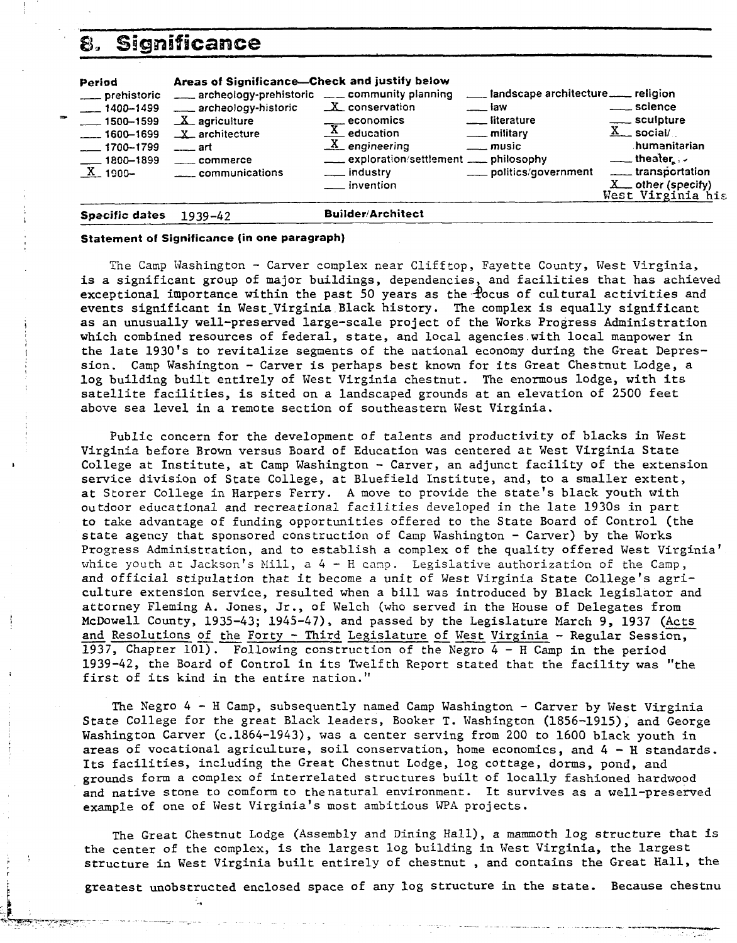### **8, Significance**

| 8.                                                                                                                                          | Significance                                                                                                                                                                                                |                                                                                                                                                                                                                                                                                                                                                                                                                   |                                                          |
|---------------------------------------------------------------------------------------------------------------------------------------------|-------------------------------------------------------------------------------------------------------------------------------------------------------------------------------------------------------------|-------------------------------------------------------------------------------------------------------------------------------------------------------------------------------------------------------------------------------------------------------------------------------------------------------------------------------------------------------------------------------------------------------------------|----------------------------------------------------------|
| Period<br>___ prehistoric<br>$-1400 - 1499$<br>$\frac{1}{2}$ 1500 - 1599<br>$-- 1600 - 1699$<br>$-1700 - 1799$<br>$-1800 - 1899$<br>X 1900- | Areas of Significance-Check and justify below<br>archeology-prehistoric ___ community planning<br>___ archeology-historic<br>$X$ agriculture<br>$X$ architecture<br>$---$ art<br>commerce<br>communications | ___ landscape architecture ___ religion<br>X conservation<br><u>__</u> __science<br><u>____</u> law<br>____ sculpture<br>$\frac{\text{economics}}{\text{X}}$ education<br>$\underline{X}$ social/<br><u>_</u> ___ military<br>$X$ engineering<br>$\equiv$ music<br>$\frac{1}{2}$ theater $\frac{1}{2}$<br>exploration/settlement ____ philosophy<br>___ politics/government<br>___ industry<br>$\equiv$ invention | humanitarian<br>$X$ other (specify)<br>West Virginia his |
| Specific dates                                                                                                                              | $1939 - 42$                                                                                                                                                                                                 | <b>Builder/Architect</b>                                                                                                                                                                                                                                                                                                                                                                                          |                                                          |

### **Statement of Significance (in one paragraph)**

The **Camp** Washington - Carver complex near Clifftop, Fayette County, West Virginia, is a significant group of major buildings, dependencies, and facilities that has achieved exceptional importance within the past 50 years as the  $\frac{1}{2}$ ocus of cultural activities and events significant in West-Virginia Black history. The complex is equally significant as an unusually well-preserved large-scale project of the Works Progress Administration which combined resources of federal, state, and local agencies.with local manpower in the late 1930's to revitalize segments of the national economy during the Great Depression. Camp Washington - Carver is perhaps best known for its Great Chestnut Lodge, a log building built entirely of West Virginia chestnut. The enormous lodge, with its satellite facilities, is sited on a landscaped grounds at an elevation of 2500 feet above sea level in a remote section of southeastern West Virginia.

Public concern for the development of talents and productivity of blacks in West Virginia before Brown versus Board of Education was centered at West Virginia State College at Institute, at Camp Washington - Carver, an adjunct facility of the extension service division of State College, at Bluefield Institute, and, to a smaller extent, at Storer College in Harpers Ferry. **A** move to provide the state's black youth with outdoor educational and recreational facilities developed in the late 1930s in part to take advantage of funding opportunities offered to the State Board of Control (the state agency that sponsored construction of Camp Washington - Carver) by the Works Progress Administration, and to establish a complex of the quality offered West Virginia' white youth at Jackson's Mill,  $a 4 - H$  camp. Legislative authorization of the Camp, and official stipulation that it become a unit of West Virginia State College's agriculture extension service, resulted when a bill was introduced by Black legislator and attorney Fleming **A.** Jones, Jr., of Welch (who served in the House of Delegates from McDowell County, 1935-43; 1945-47), and passed by the Legislature March 9, 1937 (Acts and Resolutions of the Forty - Third Legislature of West Virginia - Regular Session, 1937, Chapter 101). Following construction of the Xegro 4 - H Camp in the period 1939-42, the Board of Control in its Twelfth Report stated that the facility was "the first of its kind in the entire nation."

The Negro  $4 - H$  Camp, subsequently named Camp Washington - Carver by West Virginia State College for the great Black leaders, Booker T. Washington (1856-1915), and George Washington Carver (c.1864-1943), was a center serving from 200 to 1600 black youth in areas of vocational agriculture, soil conservation, home economics, and 4 - H standards, Its facilities, including the Great Chestnut Lodge, log cottage, dorms, pond, and grounds form a complex of interrelated structures built of locally fashioned hardwood and native stone to comform to thenatural environment. It survives as a well-preserved example of one of West Virginia's most ambitious **\JPA** projects.

The Great Chestnut Lodge (Assembly and Dining Hall), a mammoth log structure that is the center of the complex, is the largest log building in West Virginia, the largest the center of the complex, is the largest log building in West Virginia, the largest<br>structure in West Virginia built entirely of chestnut, and contains the Great Hall, the<br>greatest unobstructed enclosed space of any log s

. .~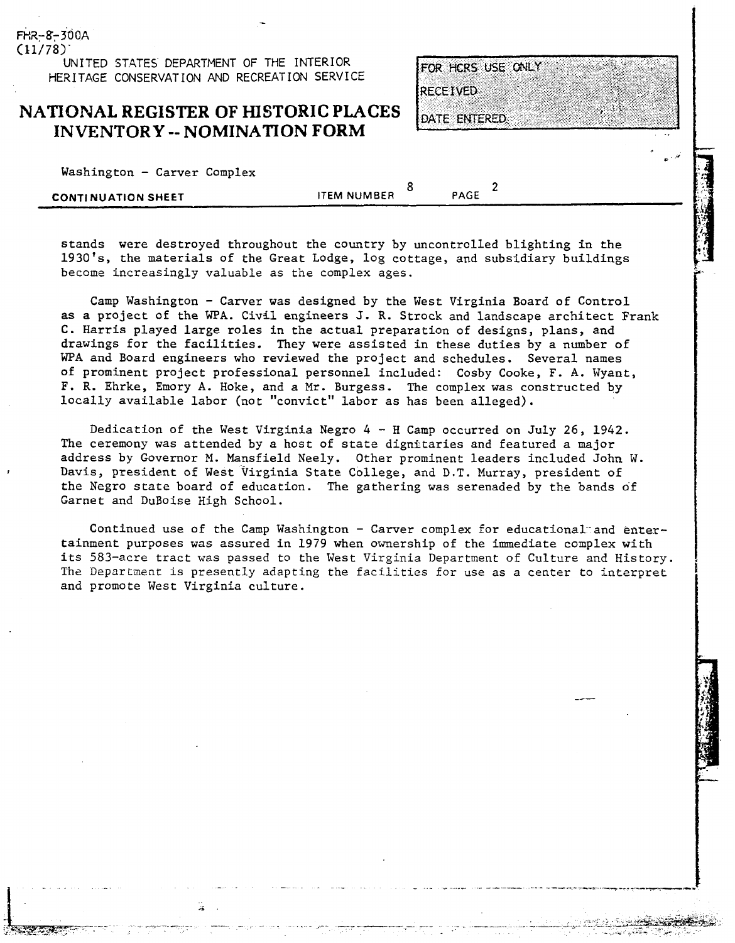UNITED STATES DEPARTMENT OF THE INTERIOR **HERITAGE CONSERVATION AND RECREATION SERVICE** 

### **NATIONAL REGISTER OF HISTORIC PLACES INVENTORY** -- **NOMINATION FORM**

| Washington - Carver Complex |  |  |
|-----------------------------|--|--|
|                             |  |  |

FHR-8-300A  $(11/78)$ 

| ***************<br>$-0.22$ , $-0.26$ , $-0.22$ |                    |      |  |
|------------------------------------------------|--------------------|------|--|
|                                                |                    |      |  |
| <b>CONTINUATION SHEET</b>                      | <b>ITEM NUMBER</b> | PAGE |  |
|                                                |                    |      |  |

FOR HCRS USE ONLY

**RECEIVED** 

**DATE ENTERED** 

stands were destroyed throughout the country by uncontrolled blighting in the 1930's, the materials of the Great Lodge, log cottage, and subsidiary buildings become increasingly valuable as the complex ages.

Camp Washington - Carver was designed by the West Virginia Board of Control as a project of the WPA. Civil engineers J. R. Strock and landscape architect Frank C. Harris played large roles in the actual preparation of designs, plans, and drawings for the facilities. They were assisted in these duties by a number of **WPA** and Board engineers who reviewed the project and schedules. Several names of prominent project professional personnel included: Cosby Cooke, F. **A.** Wyant, F. R. Ehrke, Emory **A.** Hoke, and a Mr. Burgess. The complex was constructed by locally available labor (not "convict" labor as has been alleged).

Dedication of the West Virginia Negro 4 - H Camp occurred on July 26, 1942. The ceremony was attended by a host of state dignitaries and featured a major address by Governor M. Mansfield Neely. Other prominent leaders included John W. Davis, president of West Virginia State College, and D.T. Murray, president of the Negro state board of education. The gathering was serenaded by the bands df Garnet and DuBoise High School.

Continued use of the Camp Washington - Carver complex for educational and entertainment purposes was assured in 1979 when ownership of the immediate complex with its 583-acre tract was passed to the West Virginia Department of Culture and History. The Department is presently adapting the facilities for use as a center to interpret and promote West Virginia culture.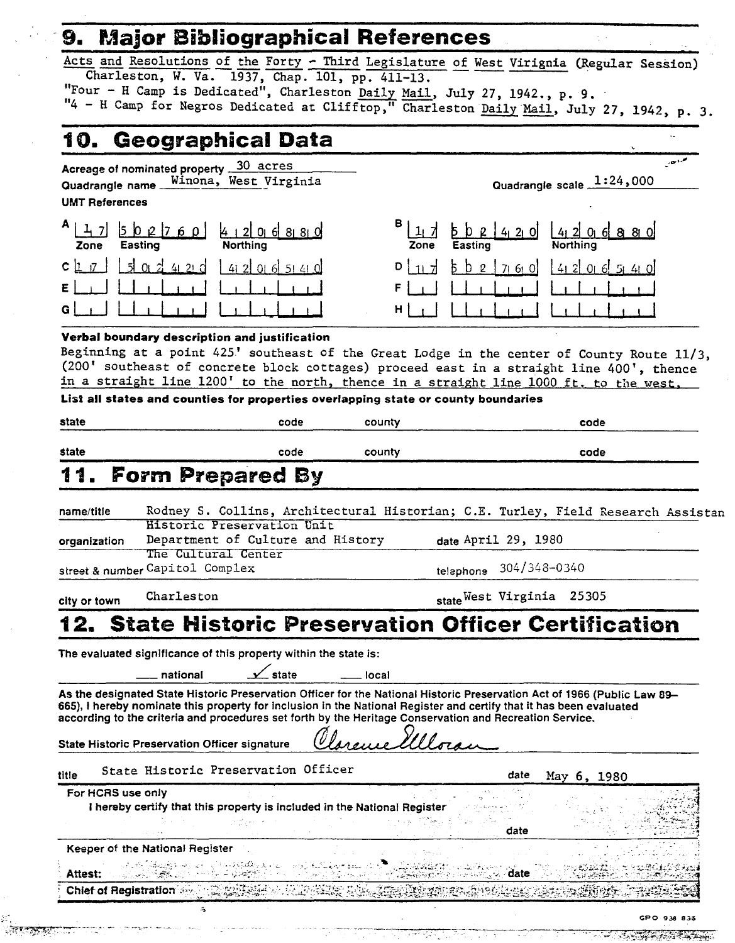## 9. Major Bibliographical References

Acts and Resolutions of the Forty - Third Legislature of West Virignia (Regular Session) Charleston, W. Va. 1937, Chap. 101, pp. 411-13. "Four - H Camp is Dedicated", Charleston Daily Mail, July 27, 1942., p. 9.

"4 - H Camp for Negros Dedicated at Clifftop," Charleston Daily Mail, July 27, 1942, p. 3.

#### **Geographical Data** 10.

30 acres Acreage of nominated property Winona, West Virginia Quadrangle name **UMT References** 

 $1 \quad 7$ Zone

 $CL$   $7$   $\mid$ 

G.

Quadrangle scale 1:24,000

 $-1$ 

7one  $\mathcal{Q}$  $71.61.0$ н

### Verbal boundary description and justification

 $1510124210$ 

Beginning at a point 425' southeast of the Great Lodge in the center of County Route 11/3, (200' southeast of concrete block cottages) proceed east in a straight line 400', thence in a straight line 1200' to the north, thence in a straight line 1000 ft. to the west,

List all states and counties for properties overlapping state or county boundaries

| state                     | code | county | code |
|---------------------------|------|--------|------|
| state                     | code | county | code |
| 11.<br>. Form Prepared By |      |        |      |

#### Rodney S. Collins, Architectural Historian; C.E. Turley, Field Research Assistan name/title Historic Preservation Unit Department of Culture and History date April 29, 1980 organization The Cultural Center street & number Capitol Complex 304/348-0340 telephone

Charleston city or town

state West Virginia 25305

#### **State Historic Preservation Officer Certification** 12.

The evaluated significance of this property within the state is:

national

 $\_$ state **local** 

As the designated State Historic Preservation Officer for the National Historic Preservation Act of 1966 (Public Law 89-665), I hereby nominate this property for inclusion in the National Register and certify that it has been evaluated according to the criteria and procedures set forth by the Heritage Conservation and Recreation Service.

| <b>State Historic Preservation Officer signature</b> |                                     | Clarence Illoran |      |                     |  |
|------------------------------------------------------|-------------------------------------|------------------|------|---------------------|--|
| title                                                | State Historic Preservation Officer |                  | date | $M_{\text{av}}$ 6 1 |  |

1980 May  $6.$ For HCRS use only I hereby certify that this property is included in the National Register date Keeper of the National Register **PARTICO SANC** date **Attest:** ان <del>کام</del>یک Chief of Registration Align call -9333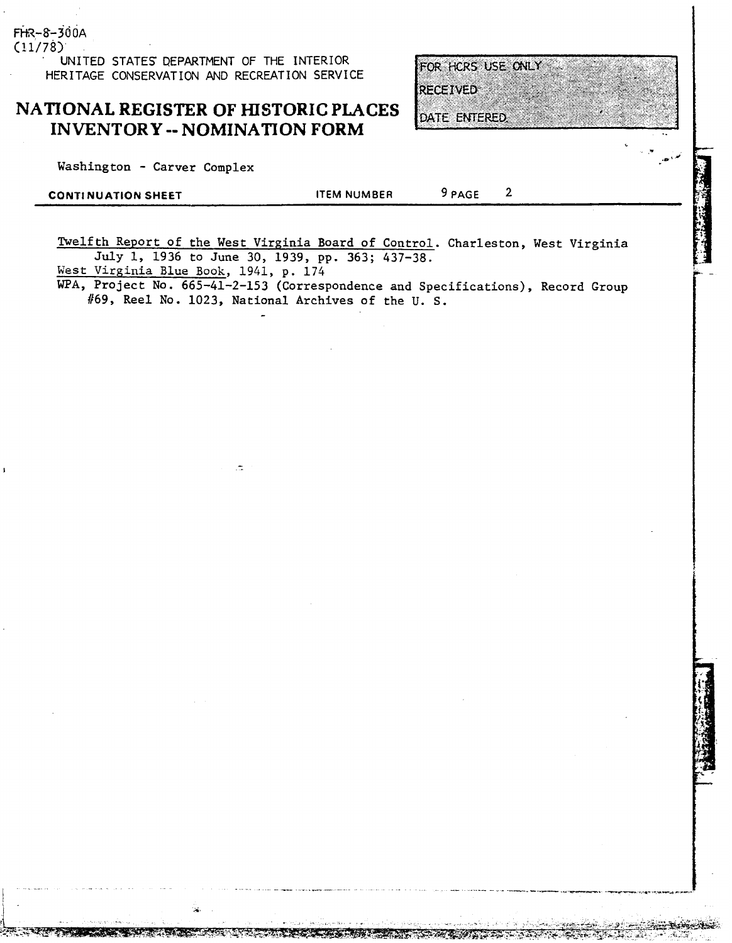**UNITED STATES QEPARTMENT OF THE INTERIOR HERITAGE CONSERVATION AND RECREATION SERVICE** 

### **NATIONAL REGISTER OF HISTORIC PLACES INVENTORY** -- **NOMINATION FORM**

Washington - Carver Complex

**(11/78)** 

 $FHR - 8 - 300A$ 

| <b>CONTINUATION SHEET</b> | <b>ITEM NUMBER</b> | 9 PAGE |  |
|---------------------------|--------------------|--------|--|
|                           |                    |        |  |

Twelfth Report of the West Virginia Board of Control. Charleston, West Virginia **July** 1, 1936 to June 30, 1939, pp. 363; 437-38.

West Virginia Blue Book, 1941, p. 174

WPA, Project No. 665-41-2-153 (Correspondence and Specifications), Record Group #69, Reel No. 1023, National Archives of the U. S. ---<br>-

FOR HCRS USE ONLY

**RECEIVED** 

**DATE ENTERED**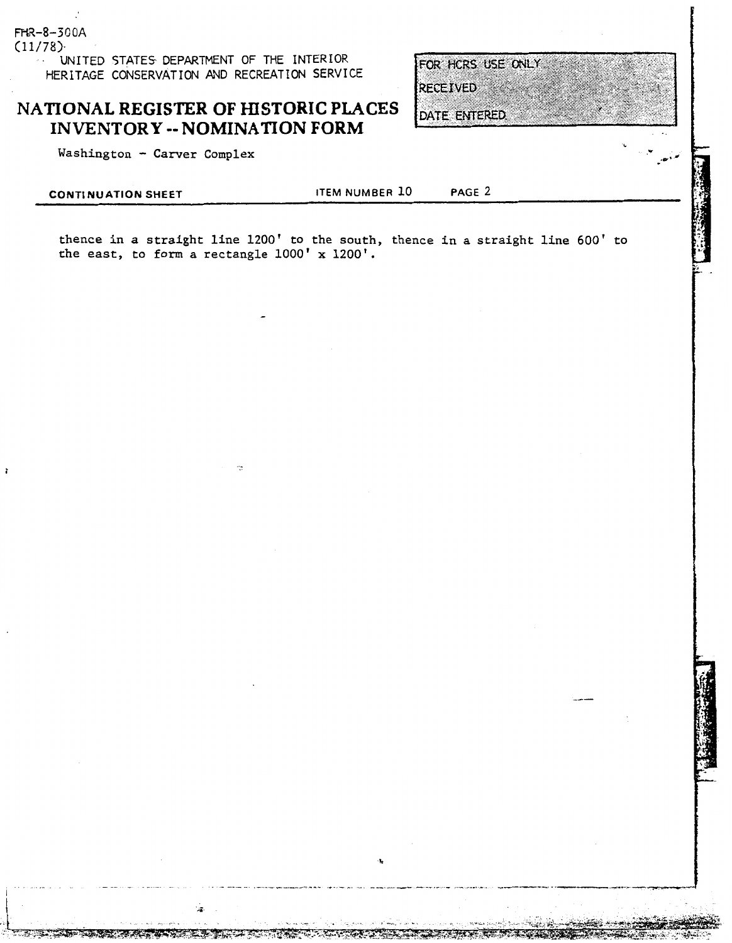$(11/78)$ UNITED STATES DEPARTMENT OF THE INTERIOR HERITAGE CONSERVATION AND RECREATION SERVICE

# NATIONAL REGISTER OF HISTORIC PLACES INVENTORY -- NOMINATION FORM<br>Washington - Carver Complex

FHR-8-300A

**CONTINUATION SHEET ITEM NUMBER 10 PAGE 2** 

FOR HCRS USE ONLY

**RECEIVED** 

DATE ENTERED.

thence in a straight line 1200' to the south, thence in a straight line 600' to the east, to form a rectangle 1000' x 1200'.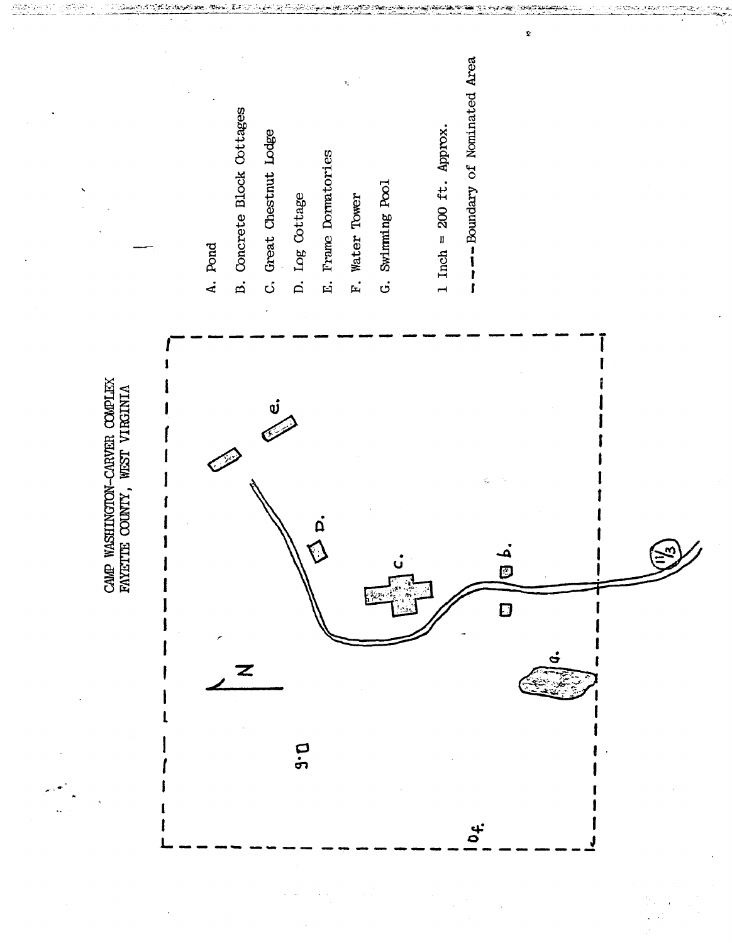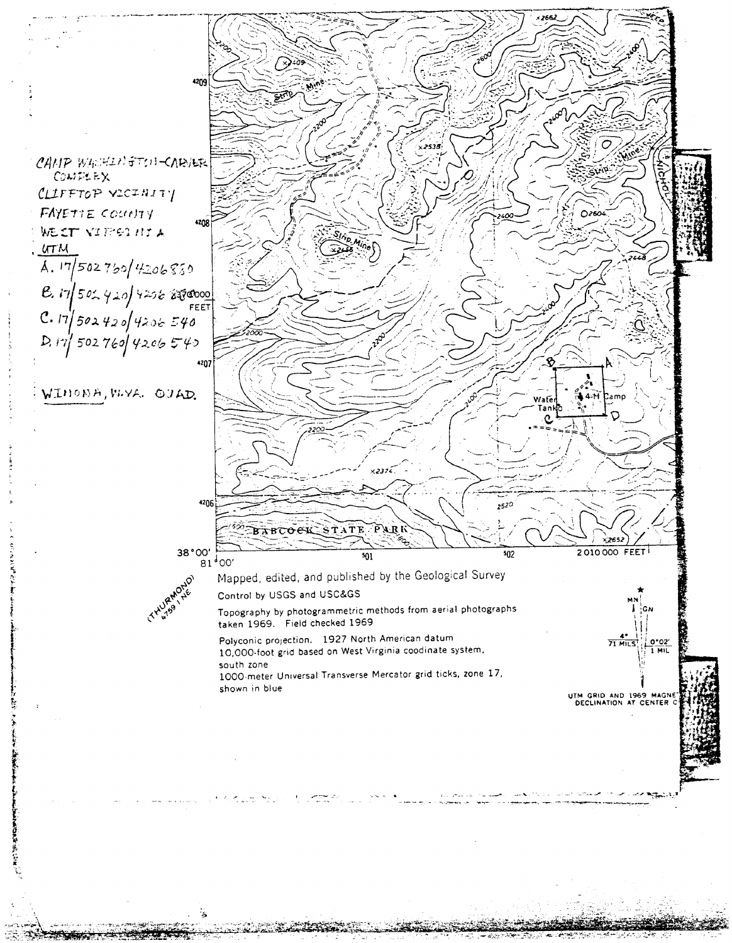